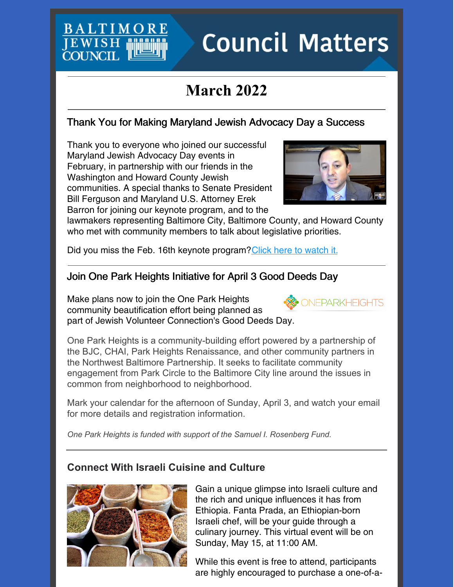# **Council Matters**

# **March 2022**

# Thank You for Making Maryland Jewish Advocacy Day a Success

Thank you to everyone who joined our successful Maryland Jewish Advocacy Day events in February, in partnership with our friends in the Washington and Howard County Jewish communities. A special thanks to Senate President Bill Ferguson and Maryland U.S. Attorney Erek Barron for joining our keynote program, and to the

**BALTIMC** 

**JEWISH COUNCH** 



lawmakers representing Baltimore City, Baltimore County, and Howard County who met with community members to talk about legislative priorities.

Did you miss the Feb. 16th keynote program? Click here to [watch](https://www.youtube.com/watch?v=p6kiu2NgGqg) it.

# Join One Park Heights Initiative for April 3 Good Deeds Day

Make plans now to join the One Park Heights community beautification effort being planned as part of Jewish Volunteer Connection's Good Deeds Day.

One Park Heights is a community-building effort powered by a partnership of the BJC, CHAI, Park Heights Renaissance, and other community partners in the Northwest Baltimore Partnership. It seeks to facilitate community engagement from Park Circle to the Baltimore City line around the issues in common from neighborhood to neighborhood.

Mark your calendar for the afternoon of Sunday, April 3, and watch your email for more details and registration information.

*One Park Heights is funded with support of the Samuel I. Rosenberg Fund.*

### **Connect With Israeli Cuisine and Culture**



Gain a unique glimpse into Israeli culture and the rich and unique influences it has from Ethiopia. Fanta Prada, an Ethiopian-born Israeli chef, will be your guide through a culinary journey. This virtual event will be on Sunday, May 15, at 11:00 AM.

While this event is free to attend, participants are highly encouraged to purchase a one-of-a-

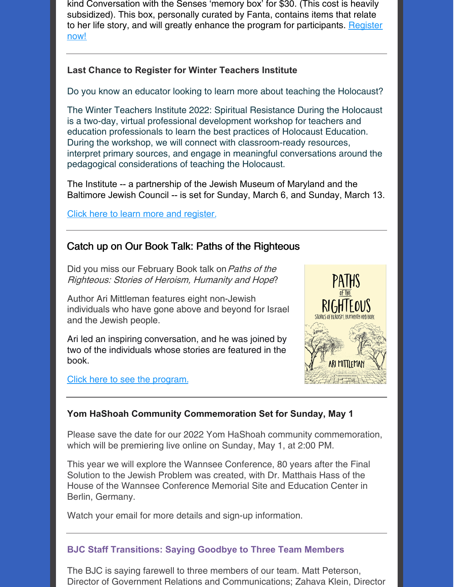kind Conversation with the Senses 'memory box' for \$30. (This cost is heavily subsidized). This box, personally curated by Fanta, contains items that relate to her life story, and will greatly enhance the program for [participants.](https://events.idonate.com/senses) Register now!

#### **Last Chance to Register for Winter Teachers Institute**

Do you know an educator looking to learn more about teaching the Holocaust?

The Winter Teachers Institute 2022: Spiritual Resistance During the Holocaust is a two-day, virtual professional development workshop for teachers and education professionals to learn the best practices of Holocaust Education. During the workshop, we will connect with classroom-ready resources, interpret primary sources, and engage in meaningful conversations around the pedagogical considerations of teaching the Holocaust.

The Institute -- a partnership of the Jewish Museum of Maryland and the Baltimore Jewish Council -- is set for Sunday, March 6, and Sunday, March 13.

Click here to learn more and [register.](https://68398.blackbaudhosting.com/68398/Winter-Teachers-Institute-2022-Spiritual-Resistance-During-the-Holocaust-06Mar2022)

#### Catch up on Our Book Talk: Paths of the Righteous

Did you miss our February Book talk on Paths of the Righteous: Stories of Heroism, Humanity and Hope?

Author Ari Mittleman features eight non-Jewish individuals who have gone above and beyond for Israel and the Jewish people.

Ari led an inspiring conversation, and he was joined by two of the individuals whose stories are featured in the book.

Click here to see the [program.](https://www.youtube.com/watch?v=TQwgItyCVHQ&t)



#### **Yom HaShoah Community Commemoration Set for Sunday, May 1**

Please save the date for our 2022 Yom HaShoah community commemoration, which will be premiering live online on Sunday, May 1, at 2:00 PM.

This year we will explore the Wannsee Conference, 80 years after the Final Solution to the Jewish Problem was created, with Dr. Matthais Hass of the House of the Wannsee Conference Memorial Site and Education Center in Berlin, Germany.

Watch your email for more details and sign-up information.

#### **BJC Staff Transitions: Saying Goodbye to Three Team Members**

The BJC is saying farewell to three members of our team. Matt Peterson, Director of Government Relations and Communications; Zahava Klein, Director